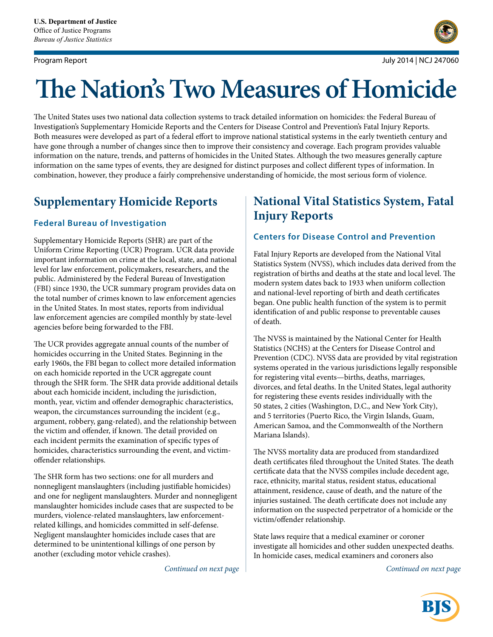

# **The Nation's Two Measures of Homicide**

The United States uses two national data collection systems to track detailed information on homicides: the Federal Bureau of Investigation's Supplementary Homicide Reports and the Centers for Disease Control and Prevention's Fatal Injury Reports. Both measures were developed as part of a federal effort to improve national statistical systems in the early twentieth century and have gone through a number of changes since then to improve their consistency and coverage. Each program provides valuable information on the nature, trends, and patterns of homicides in the United States. Although the two measures generally capture information on the same types of events, they are designed for distinct purposes and collect different types of information. In combination, however, they produce a fairly comprehensive understanding of homicide, the most serious form of violence.

# **Supplementary Homicide Reports**

### **Federal Bureau of Investigation**

Supplementary Homicide Reports (SHR) are part of the Uniform Crime Reporting (UCR) Program. UCR data provide important information on crime at the local, state, and national level for law enforcement, policymakers, researchers, and the public. Administered by the Federal Bureau of Investigation (FBI) since 1930, the UCR summary program provides data on the total number of crimes known to law enforcement agencies in the United States. In most states, reports from individual law enforcement agencies are compiled monthly by state-level agencies before being forwarded to the FBI.

The UCR provides aggregate annual counts of the number of homicides occurring in the United States. Beginning in the early 1960s, the FBI began to collect more detailed information on each homicide reported in the UCR aggregate count through the SHR form. The SHR data provide additional details about each homicide incident, including the jurisdiction, month, year, victim and offender demographic characteristics, weapon, the circumstances surrounding the incident (e.g., argument, robbery, gang-related), and the relationship between the victim and offender, if known. The detail provided on each incident permits the examination of specific types of homicides, characteristics surrounding the event, and victimoffender relationships.

The SHR form has two sections: one for all murders and nonnegligent manslaughters (including justifiable homicides) and one for negligent manslaughters. Murder and nonnegligent manslaughter homicides include cases that are suspected to be murders, violence-related manslaughters, law enforcementrelated killings, and homicides committed in self-defense. Negligent manslaughter homicides include cases that are determined to be unintentional killings of one person by another (excluding motor vehicle crashes).

# **National Vital Statistics System, Fatal Injury Reports**

## **Centers for Disease Control and Prevention**

Fatal Injury Reports are developed from the National Vital Statistics System (NVSS), which includes data derived from the registration of births and deaths at the state and local level. The modern system dates back to 1933 when uniform collection and national-level reporting of birth and death certificates began. One public health function of the system is to permit identification of and public response to preventable causes of death.

The NVSS is maintained by the National Center for Health Statistics (NCHS) at the Centers for Disease Control and Prevention (CDC). NVSS data are provided by vital registration systems operated in the various jurisdictions legally responsible for registering vital events—births, deaths, marriages, divorces, and fetal deaths. In the United States, legal authority for registering these events resides individually with the 50 states, 2 cities (Washington, D.C., and New York City), and 5 territories (Puerto Rico, the Virgin Islands, Guam, American Samoa, and the Commonwealth of the Northern Mariana Islands).

The NVSS mortality data are produced from standardized death certificates filed throughout the United States. The death certificate data that the NVSS compiles include decedent age, race, ethnicity, marital status, resident status, educational attainment, residence, cause of death, and the nature of the injuries sustained. The death certificate does not include any information on the suspected perpetrator of a homicide or the victim/offender relationship.

State laws require that a medical examiner or coroner investigate all homicides and other sudden unexpected deaths. In homicide cases, medical examiners and coroners also

*Continued on next page Continued on next page*

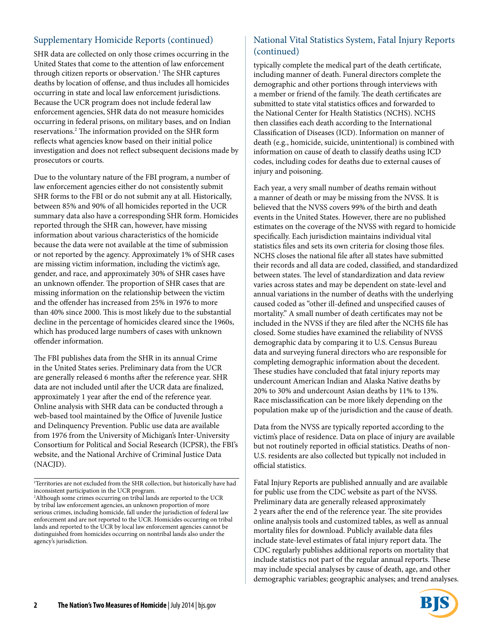SHR data are collected on only those crimes occurring in the United States that come to the attention of law enforcement through citizen reports or observation.<sup>1</sup> The SHR captures deaths by location of offense, and thus includes all homicides occurring in state and local law enforcement jurisdictions. Because the UCR program does not include federal law enforcement agencies, SHR data do not measure homicides occurring in federal prisons, on military bases, and on Indian reservations.2 The information provided on the SHR form reflects what agencies know based on their initial police investigation and does not reflect subsequent decisions made by prosecutors or courts.

Due to the voluntary nature of the FBI program, a number of law enforcement agencies either do not consistently submit SHR forms to the FBI or do not submit any at all. Historically, between 85% and 90% of all homicides reported in the UCR summary data also have a corresponding SHR form. Homicides reported through the SHR can, however, have missing information about various characteristics of the homicide because the data were not available at the time of submission or not reported by the agency. Approximately 1% of SHR cases are missing victim information, including the victim's age, gender, and race, and approximately 30% of SHR cases have an unknown offender. The proportion of SHR cases that are missing information on the relationship between the victim and the offender has increased from 25% in 1976 to more than 40% since 2000. This is most likely due to the substantial decline in the percentage of homicides cleared since the 1960s, which has produced large numbers of cases with unknown offender information.

The FBI publishes data from the SHR in its annual Crime in the United States series. Preliminary data from the UCR are generally released 6 months after the reference year. SHR data are not included until after the UCR data are finalized, approximately 1 year after the end of the reference year. Online analysis with SHR data can be conducted through a web-based tool maintained by the Office of Juvenile Justice and Delinquency Prevention. Public use data are available from 1976 from the University of Michigan's Inter-University Consortium for Political and Social Research (ICPSR), the FBI's website, and the National Archive of Criminal Justice Data (NACJD).

## Supplementary Homicide Reports (continued) National Vital Statistics System, Fatal Injury Reports (continued)

typically complete the medical part of the death certificate, including manner of death. Funeral directors complete the demographic and other portions through interviews with a member or friend of the family. The death certificates are submitted to state vital statistics offices and forwarded to the National Center for Health Statistics (NCHS). NCHS then classifies each death according to the International Classification of Diseases (ICD). Information on manner of death (e.g., homicide, suicide, unintentional) is combined with information on cause of death to classify deaths using ICD codes, including codes for deaths due to external causes of injury and poisoning.

Each year, a very small number of deaths remain without a manner of death or may be missing from the NVSS. It is believed that the NVSS covers 99% of the birth and death events in the United States. However, there are no published estimates on the coverage of the NVSS with regard to homicide specifically. Each jurisdiction maintains individual vital statistics files and sets its own criteria for closing those files. NCHS closes the national file after all states have submitted their records and all data are coded, classified, and standardized between states. The level of standardization and data review varies across states and may be dependent on state-level and annual variations in the number of deaths with the underlying caused coded as "other ill-defined and unspecified causes of mortality." A small number of death certificates may not be included in the NVSS if they are filed after the NCHS file has closed. Some studies have examined the reliability of NVSS demographic data by comparing it to U.S. Census Bureau data and surveying funeral directors who are responsible for completing demographic information about the decedent. These studies have concluded that fatal injury reports may undercount American Indian and Alaska Native deaths by 20% to 30% and undercount Asian deaths by 11% to 13%. Race misclassification can be more likely depending on the population make up of the jurisdiction and the cause of death.

Data from the NVSS are typically reported according to the victim's place of residence. Data on place of injury are available but not routinely reported in official statistics. Deaths of non-U.S. residents are also collected but typically not included in official statistics.

Fatal Injury Reports are published annually and are available for public use from the CDC website as part of the NVSS. Preliminary data are generally released approximately 2 years after the end of the reference year. The site provides online analysis tools and customized tables, as well as annual mortality files for download. Publicly available data files include state-level estimates of fatal injury report data. The CDC regularly publishes additional reports on mortality that include statistics not part of the regular annual reports. These may include special analyses by cause of death, age, and other demographic variables; geographic analyses; and trend analyses.



<sup>1</sup> Territories are not excluded from the SHR collection, but historically have had inconsistent participation in the UCR program.

<sup>2</sup> Although some crimes occurring on tribal lands are reported to the UCR by tribal law enforcement agencies, an unknown proportion of more serious crimes, including homicide, fall under the jurisdiction of federal law enforcement and are not reported to the UCR. Homicides occurring on tribal lands and reported to the UCR by local law enforcement agencies cannot be distinguished from homicides occurring on nontribal lands also under the agency's jurisdiction.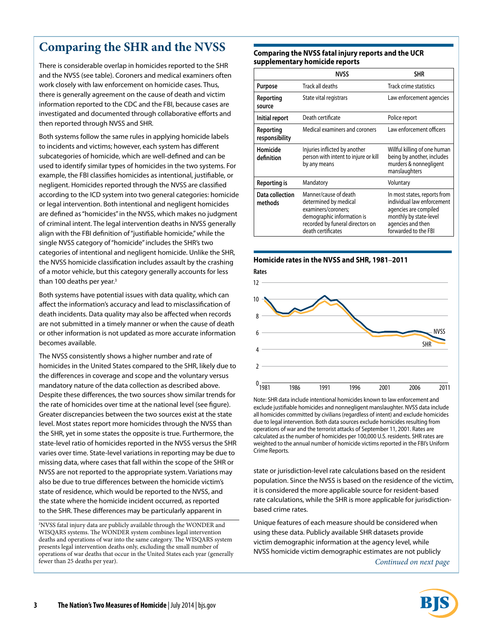# **Comparing the SHR and the NVSS**

There is considerable overlap in homicides reported to the SHR and the NVSS (see table). Coroners and medical examiners often work closely with law enforcement on homicide cases. Thus, there is generally agreement on the cause of death and victim information reported to the CDC and the FBI, because cases are investigated and documented through collaborative efforts and then reported through NVSS and SHR.

Both systems follow the same rules in applying homicide labels to incidents and victims; however, each system has different subcategories of homicide, which are well-defined and can be used to identify similar types of homicides in the two systems. For example, the FBI classifies homicides as intentional, justifiable, or negligent. Homicides reported through the NVSS are classified according to the ICD system into two general categories: homicide or legal intervention. Both intentional and negligent homicides are defined as "homicides" in the NVSS, which makes no judgment of criminal intent. The legal intervention deaths in NVSS generally align with the FBI definition of "justifiable homicide," while the single NVSS category of "homicide" includes the SHR's two categories of intentional and negligent homicide. Unlike the SHR, the NVSS homicide classification includes assault by the crashing of a motor vehicle, but this category generally accounts for less than 100 deaths per year.<sup>3</sup>

Both systems have potential issues with data quality, which can affect the information's accuracy and lead to misclassification of death incidents. Data quality may also be affected when records are not submitted in a timely manner or when the cause of death or other information is not updated as more accurate information becomes available.

The NVSS consistently shows a higher number and rate of homicides in the United States compared to the SHR, likely due to the differences in coverage and scope and the voluntary versus mandatory nature of the data collection as described above. Despite these differences, the two sources show similar trends for the rate of homicides over time at the national level (see figure). Greater discrepancies between the two sources exist at the state level. Most states report more homicides through the NVSS than the SHR, yet in some states the opposite is true. Furthermore, the state-level ratio of homicides reported in the NVSS versus the SHR varies over time. State-level variations in reporting may be due to missing data, where cases that fall within the scope of the SHR or NVSS are not reported to the appropriate system. Variations may also be due to true differences between the homicide victim's state of residence, which would be reported to the NVSS, and the state where the homicide incident occurred, as reported to the SHR. These differences may be particularly apparent in

3 NVSS fatal injury data are publicly available through the WONDER and WISQARS systems. The WONDER system combines legal intervention deaths and operations of war into the same category. The WISQARS system presents legal intervention deaths only, excluding the small number of operations of war deaths that occur in the United States each year (generally fewer than 25 deaths per year).

### **Comparing the NVSS fatal injury reports and the UCR supplementary homicide reports**

|                             | <b>NVSS</b>                                                                                                                                                   | <b>SHR</b>                                                                                                                                                 |
|-----------------------------|---------------------------------------------------------------------------------------------------------------------------------------------------------------|------------------------------------------------------------------------------------------------------------------------------------------------------------|
| Purpose                     | Track all deaths                                                                                                                                              | Track crime statistics                                                                                                                                     |
| Reporting<br>source         | State vital registrars                                                                                                                                        | Law enforcement agencies                                                                                                                                   |
| Initial report              | Death certificate                                                                                                                                             | Police report                                                                                                                                              |
| Reporting<br>responsibility | Medical examiners and coroners                                                                                                                                | Law enforcement officers                                                                                                                                   |
| Homicide<br>definition      | Injuries inflicted by another<br>person with intent to injure or kill<br>by any means                                                                         | Willful killing of one human<br>being by another, includes<br>murders & nonnegligent<br>manslaughters                                                      |
| Reporting is                | Mandatory                                                                                                                                                     | Voluntary                                                                                                                                                  |
| Data collection<br>methods  | Manner/cause of death<br>determined by medical<br>examiners/coroners;<br>demographic information is<br>recorded by funeral directors on<br>death certificates | In most states, reports from<br>individual law enforcement<br>agencies are compiled<br>monthly by state-level<br>agencies and then<br>forwarded to the FBI |



Note: SHR data include intentional homicides known to law enforcement and exclude justifiable homicides and nonnegligent manslaughter. NVSS data include all homicides committed by civilians (regardless of intent) and exclude homicides due to legal intervention. Both data sources exclude homicides resulting from operations of war and the terrorist attacks of September 11, 2001. Rates are calculated as the number of homicides per 100,000 U.S. residents. SHR rates are weighted to the annual number of homicide victims reported in the FBI's Uniform Crime Reports.

state or jurisdiction-level rate calculations based on the resident population. Since the NVSS is based on the residence of the victim, it is considered the more applicable source for resident-based rate calculations, while the SHR is more applicable for jurisdictionbased crime rates.

*Continued on next page* Unique features of each measure should be considered when using these data. Publicly available SHR datasets provide victim demographic information at the agency level, while NVSS homicide victim demographic estimates are not publicly